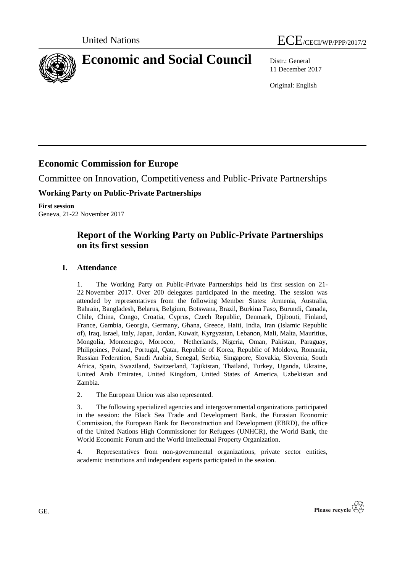



# **Economic and Social Council** Distr.: General

11 December 2017

Original: English

# **Economic Commission for Europe**

Committee on Innovation, Competitiveness and Public-Private Partnerships

# **Working Party on Public-Private Partnerships**

**First session** Geneva, 21-22 November 2017

# **Report of the Working Party on Public-Private Partnerships on its first session**

# **I. Attendance**

1. The Working Party on Public-Private Partnerships held its first session on 21- 22 November 2017. Over 200 delegates participated in the meeting. The session was attended by representatives from the following Member States: Armenia, Australia, Bahrain, Bangladesh, Belarus, Belgium, Botswana, Brazil, Burkina Faso, Burundi, Canada, Chile, China, Congo, Croatia, Cyprus, Czech Republic, Denmark, Djibouti, Finland, France, Gambia, Georgia, Germany, Ghana, Greece, Haiti, India, Iran (Islamic Republic of), Iraq, Israel, Italy, Japan, Jordan, Kuwait, Kyrgyzstan, Lebanon, Mali, Malta, Mauritius, Mongolia, Montenegro, Morocco, Netherlands, Nigeria, Oman, Pakistan, Paraguay, Philippines, Poland, Portugal, Qatar, Republic of Korea, Republic of Moldova, Romania, Russian Federation, Saudi Arabia, Senegal, Serbia, Singapore, Slovakia, Slovenia, South Africa, Spain, Swaziland, Switzerland, Tajikistan, Thailand, Turkey, Uganda, Ukraine, United Arab Emirates, United Kingdom, United States of America, Uzbekistan and Zambia.

2. The European Union was also represented.

3. The following specialized agencies and intergovernmental organizations participated in the session: the Black Sea Trade and Development Bank, the Eurasian Economic Commission, the European Bank for Reconstruction and Development (EBRD), the office of the United Nations High Commissioner for Refugees (UNHCR), the World Bank, the World Economic Forum and the World Intellectual Property Organization.

4. Representatives from non-governmental organizations, private sector entities, academic institutions and independent experts participated in the session.

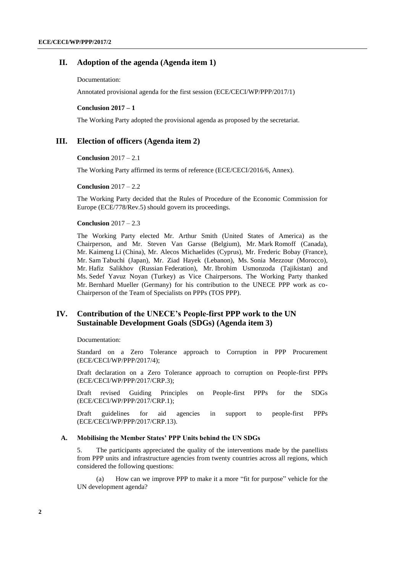### **II. Adoption of the agenda (Agenda item 1)**

Documentation:

Annotated provisional agenda for the first session (ECE/CECI/WP/PPP/2017/1)

#### **Conclusion 2017 – 1**

The Working Party adopted the provisional agenda as proposed by the secretariat.

### **III. Election of officers (Agenda item 2)**

#### **Conclusion** 2017 – 2.1

The Working Party affirmed its terms of reference (ECE/CECI/2016/6, Annex).

#### **Conclusion** 2017 – 2.2

The Working Party decided that the Rules of Procedure of the Economic Commission for Europe (ECE/778/Rev.5) should govern its proceedings.

#### **Conclusion** 2017 – 2.3

The Working Party elected Mr. Arthur Smith (United States of America) as the Chairperson, and Mr. Steven Van Garsse (Belgium), Mr. Mark Romoff (Canada), Mr. Kaimeng Li (China), Mr. Alecos Michaelides (Cyprus), Mr. Frederic Bobay (France), Mr. Sam Tabuchi (Japan), Mr. Ziad Hayek (Lebanon), Ms. Sonia Mezzour (Morocco), Mr. Hafiz Salikhov (Russian Federation), Mr. Ibrohim Usmonzoda (Tajikistan) and Ms. Sedef Yavuz Noyan (Turkey) as Vice Chairpersons. The Working Party thanked Mr. Bernhard Mueller (Germany) for his contribution to the UNECE PPP work as co-Chairperson of the Team of Specialists on PPPs (TOS PPP).

## **IV. Contribution of the UNECE's People-first PPP work to the UN Sustainable Development Goals (SDGs) (Agenda item 3)**

Documentation:

Standard on a Zero Tolerance approach to Corruption in PPP Procurement (ECE/CECI/WP/PPP/2017/4);

Draft declaration on a Zero Tolerance approach to corruption on People-first PPPs (ECE/CECI/WP/PPP/2017/CRP.3);

Draft revised Guiding Principles on People-first PPPs for the SDGs (ECE/CECI/WP/PPP/2017/CRP.1);

Draft guidelines for aid agencies in support to people-first PPPs (ECE/CECI/WP/PPP/2017/CRP.13).

#### **A. Mobilising the Member States' PPP Units behind the UN SDGs**

5. The participants appreciated the quality of the interventions made by the panellists from PPP units and infrastructure agencies from twenty countries across all regions, which considered the following questions:

(a) How can we improve PPP to make it a more "fit for purpose" vehicle for the UN development agenda?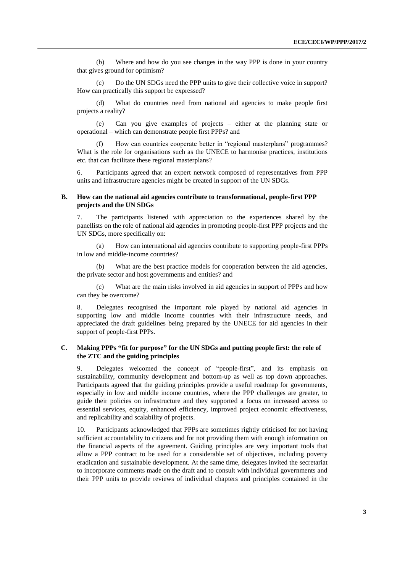(b) Where and how do you see changes in the way PPP is done in your country that gives ground for optimism?

(c) Do the UN SDGs need the PPP units to give their collective voice in support? How can practically this support be expressed?

(d) What do countries need from national aid agencies to make people first projects a reality?

(e) Can you give examples of projects – either at the planning state or operational – which can demonstrate people first PPPs? and

How can countries cooperate better in "regional masterplans" programmes? What is the role for organisations such as the UNECE to harmonise practices, institutions etc. that can facilitate these regional masterplans?

6. Participants agreed that an expert network composed of representatives from PPP units and infrastructure agencies might be created in support of the UN SDGs.

#### **B. How can the national aid agencies contribute to transformational, people-first PPP projects and the UN SDGs**

7. The participants listened with appreciation to the experiences shared by the panellists on the role of national aid agencies in promoting people-first PPP projects and the UN SDGs, more specifically on:

(a) How can international aid agencies contribute to supporting people-first PPPs in low and middle-income countries?

(b) What are the best practice models for cooperation between the aid agencies, the private sector and host governments and entities? and

(c) What are the main risks involved in aid agencies in support of PPPs and how can they be overcome?

8. Delegates recognised the important role played by national aid agencies in supporting low and middle income countries with their infrastructure needs, and appreciated the draft guidelines being prepared by the UNECE for aid agencies in their support of people-first PPPs.

### **C. Making PPPs "fit for purpose" for the UN SDGs and putting people first: the role of the ZTC and the guiding principles**

9. Delegates welcomed the concept of "people-first", and its emphasis on sustainability, community development and bottom-up as well as top down approaches. Participants agreed that the guiding principles provide a useful roadmap for governments, especially in low and middle income countries, where the PPP challenges are greater, to guide their policies on infrastructure and they supported a focus on increased access to essential services, equity, enhanced efficiency, improved project economic effectiveness, and replicability and scalability of projects.

10. Participants acknowledged that PPPs are sometimes rightly criticised for not having sufficient accountability to citizens and for not providing them with enough information on the financial aspects of the agreement. Guiding principles are very important tools that allow a PPP contract to be used for a considerable set of objectives, including poverty eradication and sustainable development. At the same time, delegates invited the secretariat to incorporate comments made on the draft and to consult with individual governments and their PPP units to provide reviews of individual chapters and principles contained in the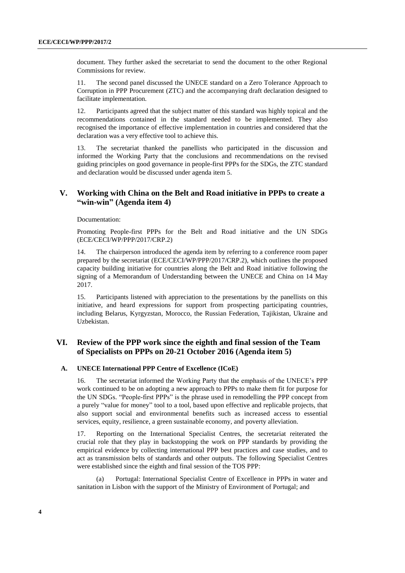document. They further asked the secretariat to send the document to the other Regional Commissions for review.

11. The second panel discussed the UNECE standard on a Zero Tolerance Approach to Corruption in PPP Procurement (ZTC) and the accompanying draft declaration designed to facilitate implementation.

12. Participants agreed that the subject matter of this standard was highly topical and the recommendations contained in the standard needed to be implemented. They also recognised the importance of effective implementation in countries and considered that the declaration was a very effective tool to achieve this.

13. The secretariat thanked the panellists who participated in the discussion and informed the Working Party that the conclusions and recommendations on the revised guiding principles on good governance in people-first PPPs for the SDGs, the ZTC standard and declaration would be discussed under agenda item 5.

## **V. Working with China on the Belt and Road initiative in PPPs to create a "win-win" (Agenda item 4)**

Documentation:

Promoting People-first PPPs for the Belt and Road initiative and the UN SDGs (ECE/CECI/WP/PPP/2017/CRP.2)

14. The chairperson introduced the agenda item by referring to a conference room paper prepared by the secretariat (ECE/CECI/WP/PPP/2017/CRP.2), which outlines the proposed capacity building initiative for countries along the Belt and Road initiative following the signing of a [Memorandum of Understanding between the UNECE and China](https://www.unece.org/fileadmin/DAM/MoU_between_UNECE___the_NDRC_in_China_2017-05-14.pdf) on 14 May 2017.

15. Participants listened with appreciation to the presentations by the panellists on this initiative, and heard expressions for support from prospecting participating countries, including Belarus, Kyrgyzstan, Morocco, the Russian Federation, Tajikistan, Ukraine and Uzbekistan.

## **VI. Review of the PPP work since the eighth and final session of the Team of Specialists on PPPs on 20-21 October 2016 (Agenda item 5)**

#### **A. UNECE International PPP Centre of Excellence (ICoE)**

16. The secretariat informed the Working Party that the emphasis of the UNECE's PPP work continued to be on adopting a new approach to PPPs to make them fit for purpose for the UN SDGs. "People-first PPPs" is the phrase used in remodelling the PPP concept from a purely "value for money" tool to a tool, based upon effective and replicable projects, that also support social and environmental benefits such as increased access to essential services, equity, resilience, a green sustainable economy, and poverty alleviation.

17. Reporting on the International Specialist Centres, the secretariat reiterated the crucial role that they play in backstopping the work on PPP standards by providing the empirical evidence by collecting international PPP best practices and case studies, and to act as transmission belts of standards and other outputs. The following Specialist Centres were established since the eighth and final session of the TOS PPP:

Portugal: International Specialist Centre of Excellence in PPPs in water and sanitation in Lisbon with the support of the Ministry of Environment of Portugal; and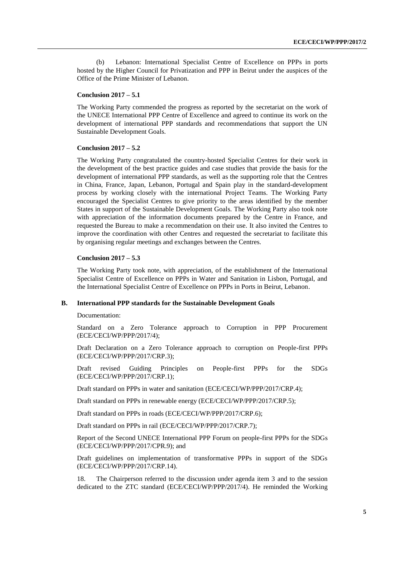(b) Lebanon: International Specialist Centre of Excellence on PPPs in ports hosted by the Higher Council for Privatization and PPP in Beirut under the auspices of the Office of the Prime Minister of Lebanon.

#### **Conclusion 2017 – 5.1**

The Working Party commended the progress as reported by the secretariat on the work of the UNECE International PPP Centre of Excellence and agreed to continue its work on the development of international PPP standards and recommendations that support the UN Sustainable Development Goals.

#### **Conclusion 2017 – 5.2**

The Working Party congratulated the country-hosted Specialist Centres for their work in the development of the best practice guides and case studies that provide the basis for the development of international PPP standards, as well as the supporting role that the Centres in China, France, Japan, Lebanon, Portugal and Spain play in the standard-development process by working closely with the international Project Teams. The Working Party encouraged the Specialist Centres to give priority to the areas identified by the member States in support of the Sustainable Development Goals. The Working Party also took note with appreciation of the information documents prepared by the Centre in France, and requested the Bureau to make a recommendation on their use. It also invited the Centres to improve the coordination with other Centres and requested the secretariat to facilitate this by organising regular meetings and exchanges between the Centres.

#### **Conclusion 2017 – 5.3**

The Working Party took note, with appreciation, of the establishment of the International Specialist Centre of Excellence on PPPs in Water and Sanitation in Lisbon, Portugal, and the International Specialist Centre of Excellence on PPPs in Ports in Beirut, Lebanon.

#### **B. International PPP standards for the Sustainable Development Goals**

Documentation:

Standard on a Zero Tolerance approach to Corruption in PPP Procurement (ECE/CECI/WP/PPP/2017/4);

Draft Declaration on a Zero Tolerance approach to corruption on People-first PPPs (ECE/CECI/WP/PPP/2017/CRP.3);

Draft revised Guiding Principles on People-first PPPs for the SDGs (ECE/CECI/WP/PPP/2017/CRP.1);

Draft standard on PPPs in water and sanitation (ECE/CECI/WP/PPP/2017/CRP.4);

Draft standard on PPPs in renewable energy (ECE/CECI/WP/PPP/2017/CRP.5);

Draft standard on PPPs in roads (ECE/CECI/WP/PPP/2017/CRP.6);

Draft standard on PPPs in rail (ECE/CECI/WP/PPP/2017/CRP.7);

Report of the Second UNECE International PPP Forum on people-first PPPs for the SDGs (ECE/CECI/WP/PPP/2017/CPR.9); and

Draft guidelines on implementation of transformative PPPs in support of the SDGs (ECE/CECI/WP/PPP/2017/CRP.14).

18. The Chairperson referred to the discussion under agenda item 3 and to the session dedicated to the ZTC standard (ECE/CECI/WP/PPP/2017/4). He reminded the Working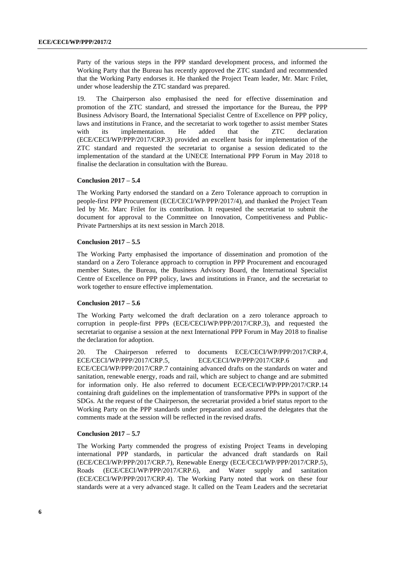Party of the various steps in the PPP standard development process, and informed the Working Party that the Bureau has recently approved the ZTC standard and recommended that the Working Party endorses it. He thanked the Project Team leader, Mr. Marc Frilet, under whose leadership the ZTC standard was prepared.

19. The Chairperson also emphasised the need for effective dissemination and promotion of the ZTC standard, and stressed the importance for the Bureau, the PPP Business Advisory Board, the International Specialist Centre of Excellence on PPP policy, laws and institutions in France, and the secretariat to work together to assist member States with its implementation. He added that the ZTC declaration (ECE/CECI/WP/PPP/2017/CRP.3) provided an excellent basis for implementation of the ZTC standard and requested the secretariat to organise a session dedicated to the implementation of the standard at the UNECE International PPP Forum in May 2018 to finalise the declaration in consultation with the Bureau.

#### **Conclusion 2017 – 5.4**

The Working Party endorsed the standard on a Zero Tolerance approach to corruption in people-first PPP Procurement (ECE/CECI/WP/PPP/2017/4), and thanked the Project Team led by Mr. Marc Frilet for its contribution. It requested the secretariat to submit the document for approval to the Committee on Innovation, Competitiveness and Public-Private Partnerships at its next session in March 2018.

#### **Conclusion 2017 – 5.5**

The Working Party emphasised the importance of dissemination and promotion of the standard on a Zero Tolerance approach to corruption in PPP Procurement and encouraged member States, the Bureau, the Business Advisory Board, the International Specialist Centre of Excellence on PPP policy, laws and institutions in France, and the secretariat to work together to ensure effective implementation.

#### **Conclusion 2017 – 5.6**

The Working Party welcomed the draft declaration on a zero tolerance approach to corruption in people-first PPPs (ECE/CECI/WP/PPP/2017/CRP.3), and requested the secretariat to organise a session at the next International PPP Forum in May 2018 to finalise the declaration for adoption.

20. The Chairperson referred to documents ECE/CECI/WP/PPP/2017/CRP.4, ECE/CECI/WP/PPP/2017/CRP.5, ECE/CECI/WP/PPP/2017/CRP.6 ECE/CECI/WP/PPP/2017/CRP.7 containing advanced drafts on the standards on water and sanitation, renewable energy, roads and rail, which are subject to change and are submitted for information only. He also referred to document ECE/CECI/WP/PPP/2017/CRP.14 containing draft guidelines on the implementation of transformative PPPs in support of the SDGs. At the request of the Chairperson, the secretariat provided a brief status report to the Working Party on the PPP standards under preparation and assured the delegates that the comments made at the session will be reflected in the revised drafts.

#### **Conclusion 2017 – 5.7**

The Working Party commended the progress of existing Project Teams in developing international PPP standards, in particular the advanced draft standards on Rail (ECE/CECI/WP/PPP/2017/CRP.7), Renewable Energy (ECE/CECI/WP/PPP/2017/CRP.5), Roads (ECE/CECI/WP/PPP/2017/CRP.6), and Water supply and sanitation (ECE/CECI/WP/PPP/2017/CRP.4). The Working Party noted that work on these four standards were at a very advanced stage. It called on the Team Leaders and the secretariat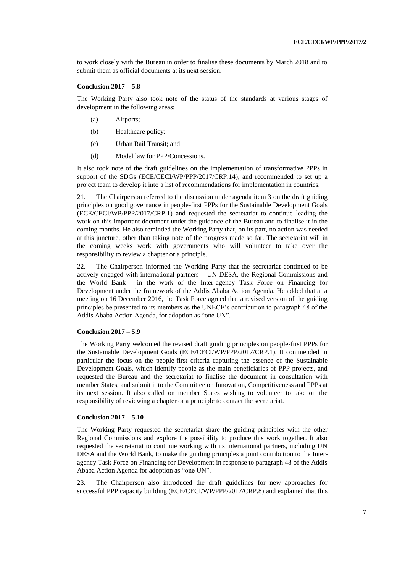to work closely with the Bureau in order to finalise these documents by March 2018 and to submit them as official documents at its next session.

#### **Conclusion 2017 – 5.8**

The Working Party also took note of the status of the standards at various stages of development in the following areas:

- (a) Airports;
- (b) Healthcare policy:
- (c) Urban Rail Transit; and
- (d) Model law for PPP/Concessions.

It also took note of the draft guidelines on the implementation of transformative PPPs in support of the SDGs (ECE/CECI/WP/PPP/2017/CRP.14), and recommended to set up a project team to develop it into a list of recommendations for implementation in countries.

21. The Chairperson referred to the discussion under agenda item 3 on the draft guiding principles on good governance in people-first PPPs for the Sustainable Development Goals (ECE/CECI/WP/PPP/2017/CRP.1) and requested the secretariat to continue leading the work on this important document under the guidance of the Bureau and to finalise it in the coming months. He also reminded the Working Party that, on its part, no action was needed at this juncture, other than taking note of the progress made so far. The secretariat will in the coming weeks work with governments who will volunteer to take over the responsibility to review a chapter or a principle.

22. The Chairperson informed the Working Party that the secretariat continued to be actively engaged with international partners – UN DESA, the Regional Commissions and the World Bank - in the work of the Inter-agency Task Force on Financing for Development under the framework of the Addis Ababa Action Agenda. He added that at a meeting on 16 December 2016, the Task Force agreed that a revised version of the guiding principles be presented to its members as the UNECE's contribution to paragraph 48 of the Addis Ababa Action Agenda, for adoption as "one UN".

#### **Conclusion 2017 – 5.9**

The Working Party welcomed the revised draft guiding principles on people-first PPPs for the Sustainable Development Goals (ECE/CECI/WP/PPP/2017/CRP.1). It commended in particular the focus on the people-first criteria capturing the essence of the Sustainable Development Goals, which identify people as the main beneficiaries of PPP projects, and requested the Bureau and the secretariat to finalise the document in consultation with member States, and submit it to the Committee on Innovation, Competitiveness and PPPs at its next session. It also called on member States wishing to volunteer to take on the responsibility of reviewing a chapter or a principle to contact the secretariat.

#### **Conclusion 2017 – 5.10**

The Working Party requested the secretariat share the guiding principles with the other Regional Commissions and explore the possibility to produce this work together. It also requested the secretariat to continue working with its international partners, including UN DESA and the World Bank, to make the guiding principles a joint contribution to the Interagency Task Force on Financing for Development in response to paragraph 48 of the Addis Ababa Action Agenda for adoption as "one UN".

23. The Chairperson also introduced the draft guidelines for new approaches for successful PPP capacity building (ECE/CECI/WP/PPP/2017/CRP.8) and explained that this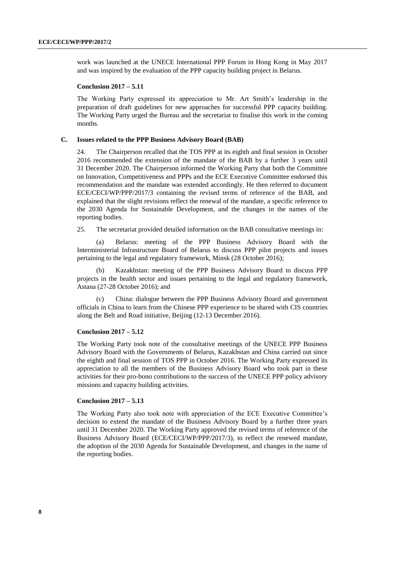work was launched at the UNECE International PPP Forum in Hong Kong in May 2017 and was inspired by the evaluation of the PPP capacity building project in Belarus.

#### **Conclusion 2017 – 5.11**

The Working Party expressed its appreciation to Mr. Art Smith's leadership in the preparation of draft guidelines for new approaches for successful PPP capacity building. The Working Party urged the Bureau and the secretariat to finalise this work in the coming months.

#### **C. Issues related to the PPP Business Advisory Board (BAB)**

24. The Chairperson recalled that the TOS PPP at its eighth and final session in October 2016 recommended the extension of the mandate of the BAB by a further 3 years until 31 December 2020. The Chairperson informed the Working Party that both the Committee on Innovation, Competitiveness and PPPs and the ECE Executive Committee endorsed this recommendation and the mandate was extended accordingly. He then referred to document ECE/CECI/WP/PPP/2017/3 containing the revised terms of reference of the BAB, and explained that the slight revisions reflect the renewal of the mandate, a specific reference to the 2030 Agenda for Sustainable Development, and the changes in the names of the reporting bodies.

25. The secretariat provided detailed information on the BAB consultative meetings in:

(a) Belarus: meeting of the PPP Business Advisory Board with the Interministerial Infrastructure Board of Belarus to discuss PPP pilot projects and issues pertaining to the legal and regulatory framework, Minsk (28 October 2016);

(b) Kazakhstan: meeting of the PPP Business Advisory Board to discuss PPP projects in the health sector and issues pertaining to the legal and regulatory framework, Astana (27-28 October 2016); and

(c) China: dialogue between the PPP Business Advisory Board and government officials in China to learn from the Chinese PPP experience to be shared with CIS countries along the Belt and Road initiative, Beijing (12-13 December 2016).

#### **Conclusion 2017 – 5.12**

The Working Party took note of the consultative meetings of the UNECE PPP Business Advisory Board with the Governments of Belarus, Kazakhstan and China carried out since the eighth and final session of TOS PPP in October 2016. The Working Party expressed its appreciation to all the members of the Business Advisory Board who took part in these activities for their pro-bono contributions to the success of the UNECE PPP policy advisory missions and capacity building activities.

#### **Conclusion 2017 – 5.13**

The Working Party also took note with appreciation of the ECE Executive Committee's decision to extend the mandate of the Business Advisory Board by a further three years until 31 December 2020. The Working Party approved the revised terms of reference of the Business Advisory Board (ECE/CECI/WP/PPP/2017/3), to reflect the renewed mandate, the adoption of the 2030 Agenda for Sustainable Development, and changes in the name of the reporting bodies.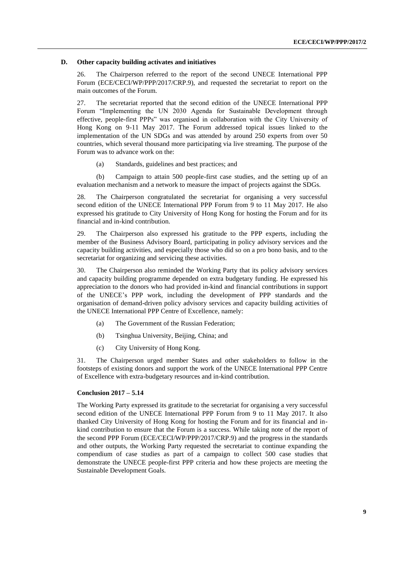#### **D. Other capacity building activates and initiatives**

26. The Chairperson referred to the report of the second UNECE International PPP Forum (ECE/CECI/WP/PPP/2017/CRP.9), and requested the secretariat to report on the main outcomes of the Forum.

27. The secretariat reported that the second edition of the UNECE International PPP Forum "Implementing the UN 2030 Agenda for Sustainable Development through effective, people-first PPPs" was organised in collaboration with the City University of Hong Kong on 9-11 May 2017. The Forum addressed topical issues linked to the implementation of the UN SDGs and was attended by around 250 experts from over 50 countries, which several thousand more participating via live streaming. The purpose of the Forum was to advance work on the:

(a) Standards, guidelines and best practices; and

(b) Campaign to attain 500 people-first case studies, and the setting up of an evaluation mechanism and a network to measure the impact of projects against the SDGs.

28. The Chairperson congratulated the secretariat for organising a very successful second edition of the UNECE International PPP Forum from 9 to 11 May 2017. He also expressed his gratitude to City University of Hong Kong for hosting the Forum and for its financial and in-kind contribution.

29. The Chairperson also expressed his gratitude to the PPP experts, including the member of the Business Advisory Board, participating in policy advisory services and the capacity building activities, and especially those who did so on a pro bono basis, and to the secretariat for organizing and servicing these activities.

30. The Chairperson also reminded the Working Party that its policy advisory services and capacity building programme depended on extra budgetary funding. He expressed his appreciation to the donors who had provided in-kind and financial contributions in support of the UNECE's PPP work, including the development of PPP standards and the organisation of demand-driven policy advisory services and capacity building activities of the UNECE International PPP Centre of Excellence, namely:

- (a) The Government of the Russian Federation;
- (b) Tsinghua University, Beijing, China; and
- (c) City University of Hong Kong.

31. The Chairperson urged member States and other stakeholders to follow in the footsteps of existing donors and support the work of the UNECE International PPP Centre of Excellence with extra-budgetary resources and in-kind contribution.

#### **Conclusion 2017 – 5.14**

The Working Party expressed its gratitude to the secretariat for organising a very successful second edition of the UNECE International PPP Forum from 9 to 11 May 2017. It also thanked City University of Hong Kong for hosting the Forum and for its financial and inkind contribution to ensure that the Forum is a success. While taking note of the report of the second PPP Forum (ECE/CECI/WP/PPP/2017/CRP.9) and the progress in the standards and other outputs, the Working Party requested the secretariat to continue expanding the compendium of case studies as part of a campaign to collect 500 case studies that demonstrate the UNECE people-first PPP criteria and how these projects are meeting the Sustainable Development Goals.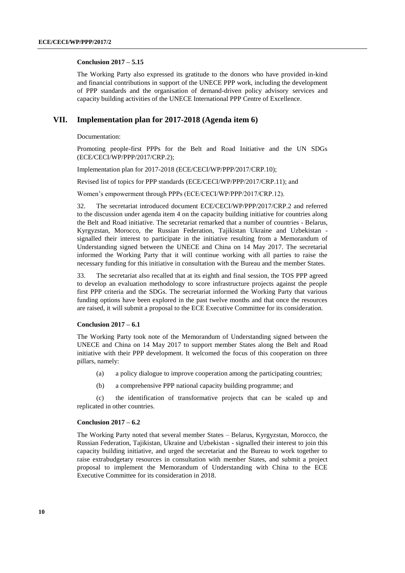#### **Conclusion 2017 – 5.15**

The Working Party also expressed its gratitude to the donors who have provided in-kind and financial contributions in support of the UNECE PPP work, including the development of PPP standards and the organisation of demand-driven policy advisory services and capacity building activities of the UNECE International PPP Centre of Excellence.

#### **VII. Implementation plan for 2017-2018 (Agenda item 6)**

Documentation:

Promoting people-first PPPs for the Belt and Road Initiative and the UN SDGs (ECE/CECI/WP/PPP/2017/CRP.2);

Implementation plan for 2017-2018 (ECE/CECI/WP/PPP/2017/CRP.10);

Revised list of topics for PPP standards (ECE/CECI/WP/PPP/2017/CRP.11); and

Women's empowerment through PPPs (ECE/CECI/WP/PPP/2017/CRP.12).

32. The secretariat introduced document ECE/CECI/WP/PPP/2017/CRP.2 and referred to the discussion under agenda item 4 on the capacity building initiative for countries along the Belt and Road initiative. The secretariat remarked that a number of countries - Belarus, Kyrgyzstan, Morocco, the Russian Federation, Tajikistan Ukraine and Uzbekistan signalled their interest to participate in the initiative resulting from a Memorandum of Understanding signed between the UNECE and China on 14 May 2017. The secretarial informed the Working Party that it will continue working with all parties to raise the necessary funding for this initiative in consultation with the Bureau and the member States.

33. The secretariat also recalled that at its eighth and final session, the TOS PPP agreed to develop an evaluation methodology to score infrastructure projects against the people first PPP criteria and the SDGs. The secretariat informed the Working Party that various funding options have been explored in the past twelve months and that once the resources are raised, it will submit a proposal to the ECE Executive Committee for its consideration.

#### **Conclusion 2017 – 6.1**

The Working Party took note of the Memorandum of Understanding signed between the UNECE and China on 14 May 2017 to support member States along the Belt and Road initiative with their PPP development. It welcomed the focus of this cooperation on three pillars, namely:

- (a) a policy dialogue to improve cooperation among the participating countries;
- (b) a comprehensive PPP national capacity building programme; and

(c) the identification of transformative projects that can be scaled up and replicated in other countries.

#### **Conclusion 2017 – 6.2**

The Working Party noted that several member States – Belarus, Kyrgyzstan, Morocco, the Russian Federation, Tajikistan, Ukraine and Uzbekistan - signalled their interest to join this capacity building initiative, and urged the secretariat and the Bureau to work together to raise extrabudgetary resources in consultation with member States, and submit a project proposal to implement the Memorandum of Understanding with China to the ECE Executive Committee for its consideration in 2018.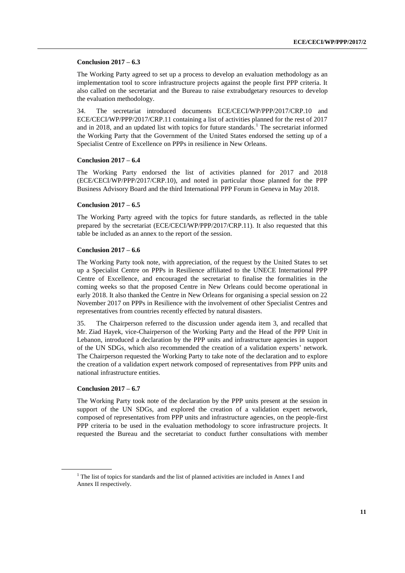#### **Conclusion 2017 – 6.3**

The Working Party agreed to set up a process to develop an evaluation methodology as an implementation tool to score infrastructure projects against the people first PPP criteria. It also called on the secretariat and the Bureau to raise extrabudgetary resources to develop the evaluation methodology.

34. The secretariat introduced documents ECE/CECI/WP/PPP/2017/CRP.10 and ECE/CECI/WP/PPP/2017/CRP.11 containing a list of activities planned for the rest of 2017 and in 2018, and an updated list with topics for future standards.<sup>1</sup> The secretariat informed the Working Party that the Government of the United States endorsed the setting up of a Specialist Centre of Excellence on PPPs in resilience in New Orleans.

#### **Conclusion 2017 – 6.4**

The Working Party endorsed the list of activities planned for 2017 and 2018 (ECE/CECI/WP/PPP/2017/CRP.10), and noted in particular those planned for the PPP Business Advisory Board and the third International PPP Forum in Geneva in May 2018.

#### **Conclusion 2017 – 6.5**

The Working Party agreed with the topics for future standards, as reflected in the table prepared by the secretariat (ECE/CECI/WP/PPP/2017/CRP.11). It also requested that this table be included as an annex to the report of the session.

#### **Conclusion 2017 – 6.6**

The Working Party took note, with appreciation, of the request by the United States to set up a Specialist Centre on PPPs in Resilience affiliated to the UNECE International PPP Centre of Excellence, and encouraged the secretariat to finalise the formalities in the coming weeks so that the proposed Centre in New Orleans could become operational in early 2018. It also thanked the Centre in New Orleans for organising a special session on 22 November 2017 on PPPs in Resilience with the involvement of other Specialist Centres and representatives from countries recently effected by natural disasters.

35. The Chairperson referred to the discussion under agenda item 3, and recalled that Mr. Ziad Hayek, vice-Chairperson of the Working Party and the Head of the PPP Unit in Lebanon, introduced a declaration by the PPP units and infrastructure agencies in support of the UN SDGs, which also recommended the creation of a validation experts' network. The Chairperson requested the Working Party to take note of the declaration and to explore the creation of a validation expert network composed of representatives from PPP units and national infrastructure entities.

#### **Conclusion 2017 – 6.7**

The Working Party took note of the declaration by the PPP units present at the session in support of the UN SDGs, and explored the creation of a validation expert network, composed of representatives from PPP units and infrastructure agencies, on the people-first PPP criteria to be used in the evaluation methodology to score infrastructure projects. It requested the Bureau and the secretariat to conduct further consultations with member

 $1$  The list of topics for standards and the list of planned activities are included in Annex I and Annex II respectively.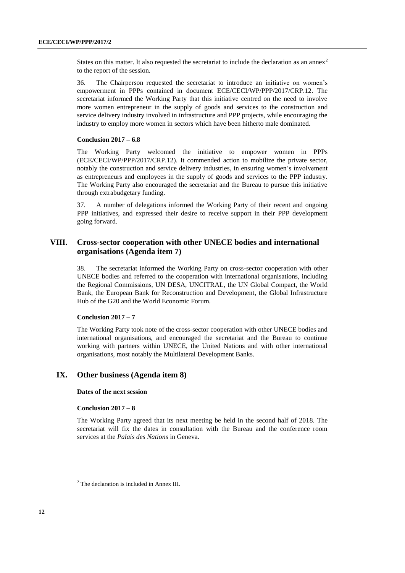States on this matter. It also requested the secretariat to include the declaration as an annex<sup>2</sup> to the report of the session.

36. The Chairperson requested the secretariat to introduce an initiative on women's empowerment in PPPs contained in document ECE/CECI/WP/PPP/2017/CRP.12. The secretariat informed the Working Party that this initiative centred on the need to involve more women entrepreneur in the supply of goods and services to the construction and service delivery industry involved in infrastructure and PPP projects, while encouraging the industry to employ more women in sectors which have been hitherto male dominated.

#### **Conclusion 2017 – 6.8**

The Working Party welcomed the initiative to empower women in PPPs (ECE/CECI/WP/PPP/2017/CRP.12). It commended action to mobilize the private sector, notably the construction and service delivery industries, in ensuring women's involvement as entrepreneurs and employees in the supply of goods and services to the PPP industry. The Working Party also encouraged the secretariat and the Bureau to pursue this initiative through extrabudgetary funding.

37. A number of delegations informed the Working Party of their recent and ongoing PPP initiatives, and expressed their desire to receive support in their PPP development going forward.

### **VIII. Cross-sector cooperation with other UNECE bodies and international organisations (Agenda item 7)**

38. The secretariat informed the Working Party on cross-sector cooperation with other UNECE bodies and referred to the cooperation with international organisations, including the Regional Commissions, UN DESA, UNCITRAL, the UN Global Compact, the World Bank, the European Bank for Reconstruction and Development, the Global Infrastructure Hub of the G20 and the World Economic Forum.

#### **Conclusion 2017 – 7**

The Working Party took note of the cross-sector cooperation with other UNECE bodies and international organisations, and encouraged the secretariat and the Bureau to continue working with partners within UNECE, the United Nations and with other international organisations, most notably the Multilateral Development Banks.

#### **IX. Other business (Agenda item 8)**

#### **Dates of the next session**

#### **Conclusion 2017 – 8**

The Working Party agreed that its next meeting be held in the second half of 2018. The secretariat will fix the dates in consultation with the Bureau and the conference room services at the *Palais des Nations* in Geneva.

<sup>2</sup> The declaration is included in Annex III.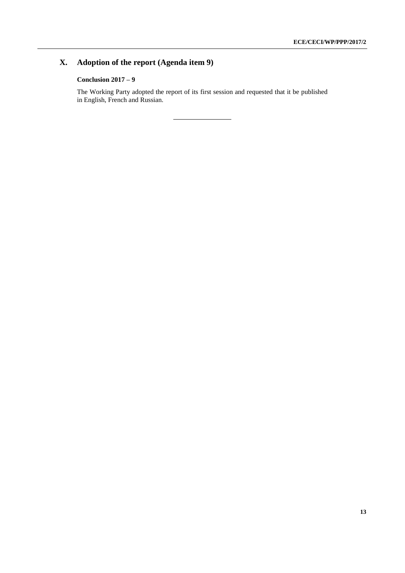# **X. Adoption of the report (Agenda item 9)**

### **Conclusion 2017 – 9**

The Working Party adopted the report of its first session and requested that it be published in English, French and Russian.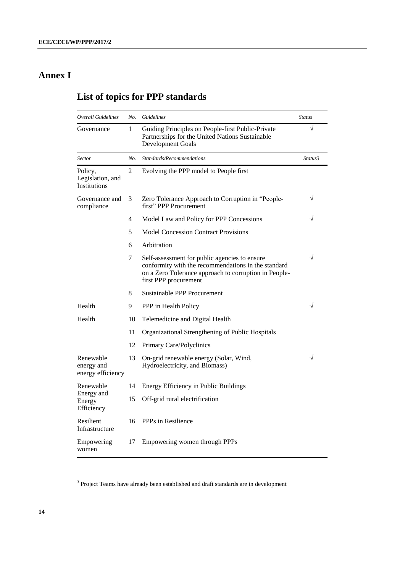# **Annex I**

# **List of topics for PPP standards**

| <b>Overall Guidelines</b>                       | No. | Guidelines                                                                                                                                                                             | <b>Status</b> |
|-------------------------------------------------|-----|----------------------------------------------------------------------------------------------------------------------------------------------------------------------------------------|---------------|
| Governance                                      | 1   | Guiding Principles on People-first Public-Private<br>Partnerships for the United Nations Sustainable<br><b>Development Goals</b>                                                       | $\sqrt{}$     |
| Sector                                          | No. | Standards/Recommendations                                                                                                                                                              | Status3       |
| Policy,<br>Legislation, and<br>Institutions     | 2   | Evolving the PPP model to People first                                                                                                                                                 |               |
| Governance and<br>compliance                    | 3   | Zero Tolerance Approach to Corruption in "People-<br>first" PPP Procurement                                                                                                            | V             |
|                                                 | 4   | Model Law and Policy for PPP Concessions                                                                                                                                               | V             |
|                                                 | 5   | <b>Model Concession Contract Provisions</b>                                                                                                                                            |               |
|                                                 | 6   | Arbitration                                                                                                                                                                            |               |
|                                                 | 7   | Self-assessment for public agencies to ensure<br>conformity with the recommendations in the standard<br>on a Zero Tolerance approach to corruption in People-<br>first PPP procurement | $\sqrt{}$     |
|                                                 | 8   | Sustainable PPP Procurement                                                                                                                                                            |               |
| Health                                          | 9   | PPP in Health Policy                                                                                                                                                                   | V             |
| Health                                          | 10  | Telemedicine and Digital Health                                                                                                                                                        |               |
|                                                 | 11  | Organizational Strengthening of Public Hospitals                                                                                                                                       |               |
|                                                 | 12  | Primary Care/Polyclinics                                                                                                                                                               |               |
| Renewable<br>energy and<br>energy efficiency    | 13  | On-grid renewable energy (Solar, Wind,<br>Hydroelectricity, and Biomass)                                                                                                               |               |
| Renewable<br>Energy and<br>Energy<br>Efficiency | 14  | Energy Efficiency in Public Buildings                                                                                                                                                  |               |
|                                                 | 15  | Off-grid rural electrification                                                                                                                                                         |               |
| Resilient<br>Infrastructure                     | 16  | PPPs in Resilience                                                                                                                                                                     |               |
| Empowering<br>women                             | 17  | Empowering women through PPPs                                                                                                                                                          |               |

<sup>&</sup>lt;sup>3</sup> Project Teams have already been established and draft standards are in development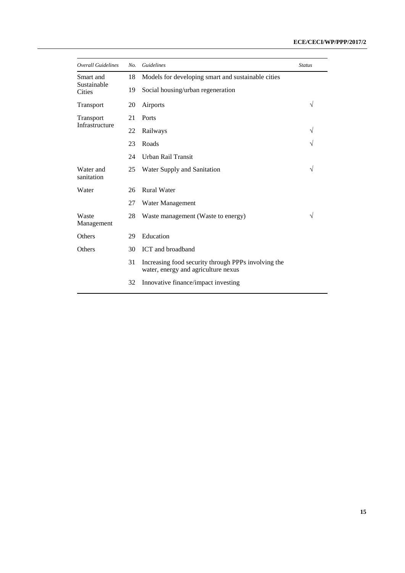| <b>Overall Guidelines</b>                 | No. | Guidelines                                                                                 | <b>Status</b> |
|-------------------------------------------|-----|--------------------------------------------------------------------------------------------|---------------|
| Smart and<br>Sustainable<br><b>Cities</b> | 18  | Models for developing smart and sustainable cities                                         |               |
|                                           | 19  | Social housing/urban regeneration                                                          |               |
| Transport                                 | 20  | Airports                                                                                   | $\sqrt{}$     |
| Transport<br>Infrastructure               | 21  | Ports                                                                                      |               |
|                                           | 22  | Railways                                                                                   | $\sqrt{}$     |
|                                           | 23  | Roads                                                                                      | V             |
|                                           | 24  | Urban Rail Transit                                                                         |               |
| Water and<br>sanitation                   | 25  | Water Supply and Sanitation                                                                | $\sqrt{}$     |
| Water                                     | 26  | <b>Rural Water</b>                                                                         |               |
|                                           | 27  | Water Management                                                                           |               |
| Waste<br>Management                       | 28  | Waste management (Waste to energy)                                                         | $\sqrt{}$     |
| Others                                    | 29  | Education                                                                                  |               |
| <b>Others</b>                             | 30  | ICT and broadband                                                                          |               |
|                                           | 31  | Increasing food security through PPPs involving the<br>water, energy and agriculture nexus |               |
|                                           | 32  | Innovative finance/impact investing                                                        |               |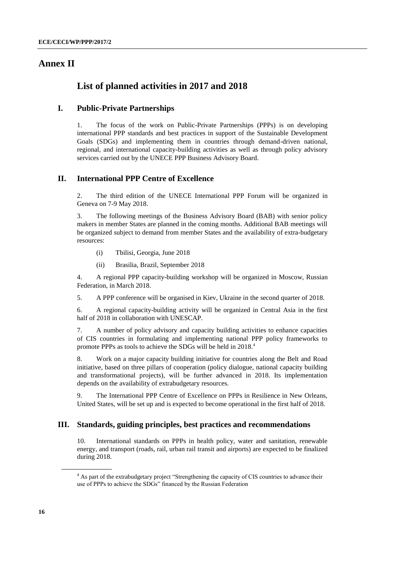# **Annex II**

# **List of planned activities in 2017 and 2018**

### **I. Public-Private Partnerships**

1. The focus of the work on Public-Private Partnerships (PPPs) is on developing international PPP standards and best practices in support of the Sustainable Development Goals (SDGs) and implementing them in countries through demand-driven national, regional, and international capacity-building activities as well as through policy advisory services carried out by the UNECE PPP Business Advisory Board.

## **II. International PPP Centre of Excellence**

2. The third edition of the UNECE International PPP Forum will be organized in Geneva on 7-9 May 2018.

3. The following meetings of the Business Advisory Board (BAB) with senior policy makers in member States are planned in the coming months. Additional BAB meetings will be organized subject to demand from member States and the availability of extra-budgetary resources:

- (i) Tbilisi, Georgia, June 2018
- (ii) Brasilia, Brazil, September 2018

4. A regional PPP capacity-building workshop will be organized in Moscow, Russian Federation, in March 2018.

5. A PPP conference will be organised in Kiev, Ukraine in the second quarter of 2018.

6. A regional capacity-building activity will be organized in Central Asia in the first half of 2018 in collaboration with UNESCAP.

7. A number of policy advisory and capacity building activities to enhance capacities of CIS countries in formulating and implementing national PPP policy frameworks to promote PPPs as tools to achieve the SDGs will be held in 2018.<sup>4</sup>

8. Work on a major capacity building initiative for countries along the Belt and Road initiative, based on three pillars of cooperation (policy dialogue, national capacity building and transformational projects), will be further advanced in 2018. Its implementation depends on the availability of extrabudgetary resources.

9. The International PPP Centre of Excellence on PPPs in Resilience in New Orleans, United States, will be set up and is expected to become operational in the first half of 2018.

#### **III. Standards, guiding principles, best practices and recommendations**

10. International standards on PPPs in health policy, water and sanitation, renewable energy, and transport (roads, rail, urban rail transit and airports) are expected to be finalized during 2018.

<sup>&</sup>lt;sup>4</sup> As part of the extrabudgetary project "Strengthening the capacity of CIS countries to advance their use of PPPs to achieve the SDGs" financed by the Russian Federation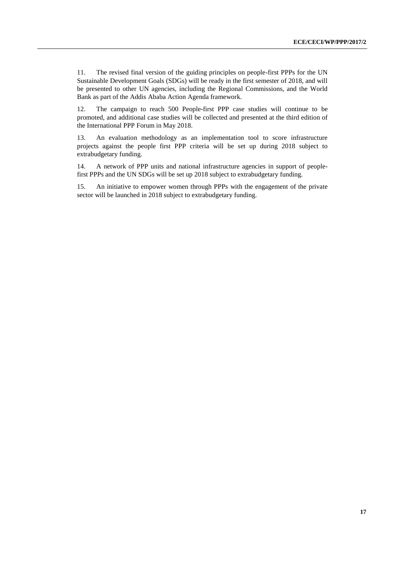11. The revised final version of the guiding principles on people-first PPPs for the UN Sustainable Development Goals (SDGs) will be ready in the first semester of 2018, and will be presented to other UN agencies, including the Regional Commissions, and the World Bank as part of the Addis Ababa Action Agenda framework.

12. The campaign to reach 500 People-first PPP case studies will continue to be promoted, and additional case studies will be collected and presented at the third edition of the International PPP Forum in May 2018.

13. An evaluation methodology as an implementation tool to score infrastructure projects against the people first PPP criteria will be set up during 2018 subject to extrabudgetary funding.

14. A network of PPP units and national infrastructure agencies in support of peoplefirst PPPs and the UN SDGs will be set up 2018 subject to extrabudgetary funding.

15. An initiative to empower women through PPPs with the engagement of the private sector will be launched in 2018 subject to extrabudgetary funding.